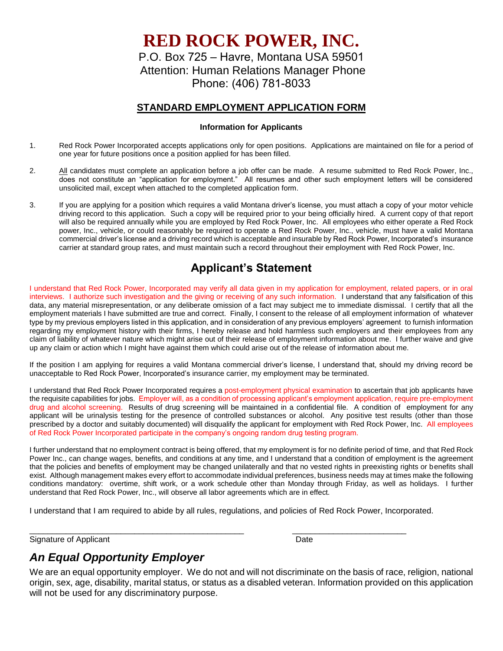**RED ROCK POWER, INC.**

P.O. Box 725 – Havre, Montana USA 59501 Attention: Human Relations Manager Phone Phone: (406) 781-8033

#### **STANDARD EMPLOYMENT APPLICATION FORM**

#### **Information for Applicants**

- 1. Red Rock Power Incorporated accepts applications only for open positions. Applications are maintained on file for a period of one year for future positions once a position applied for has been filled.
- 2. All candidates must complete an application before a job offer can be made. A resume submitted to Red Rock Power, Inc., does not constitute an "application for employment." All resumes and other such employment letters will be considered unsolicited mail, except when attached to the completed application form.
- 3. If you are applying for a position which requires a valid Montana driver's license, you must attach a copy of your motor vehicle driving record to this application. Such a copy will be required prior to your being officially hired. A current copy of that report will also be required annually while you are employed by Red Rock Power, Inc. All employees who either operate a Red Rock power, Inc., vehicle, or could reasonably be required to operate a Red Rock Power, Inc., vehicle, must have a valid Montana commercial driver's license and a driving record which is acceptable and insurable by Red Rock Power, Incorporated's insurance carrier at standard group rates, and must maintain such a record throughout their employment with Red Rock Power, Inc.

# **Applicant's Statement**

I understand that Red Rock Power, Incorporated may verify all data given in my application for employment, related papers, or in oral interviews. I authorize such investigation and the giving or receiving of any such information. I understand that any falsification of this data, any material misrepresentation, or any deliberate omission of a fact may subject me to immediate dismissal. I certify that all the employment materials I have submitted are true and correct. Finally, I consent to the release of all employment information of whatever type by my previous employers listed in this application, and in consideration of any previous employers' agreement to furnish information regarding my employment history with their firms, I hereby release and hold harmless such employers and their employees from any claim of liability of whatever nature which might arise out of their release of employment information about me. I further waive and give up any claim or action which I might have against them which could arise out of the release of information about me.

If the position I am applying for requires a valid Montana commercial driver's license, I understand that, should my driving record be unacceptable to Red Rock Power, Incorporated's insurance carrier, my employment may be terminated.

I understand that Red Rock Power Incorporated requires a post-employment physical examination to ascertain that job applicants have the requisite capabilities for jobs. Employer will, as a condition of processing applicant's employment application, require pre-employment drug and alcohol screening. Results of drug screening will be maintained in a confidential file. A condition of employment for any applicant will be urinalysis testing for the presence of controlled substances or alcohol. Any positive test results (other than those prescribed by a doctor and suitably documented) will disqualify the applicant for employment with Red Rock Power, Inc. All employees of Red Rock Power Incorporated participate in the company's ongoing random drug testing program.

I further understand that no employment contract is being offered, that my employment is for no definite period of time, and that Red Rock Power Inc., can change wages, benefits, and conditions at any time, and I understand that a condition of employment is the agreement that the policies and benefits of employment may be changed unilaterally and that no vested rights in preexisting rights or benefits shall exist. Although management makes every effort to accommodate individual preferences, business needs may at times make the following conditions mandatory: overtime, shift work, or a work schedule other than Monday through Friday, as well as holidays. I further understand that Red Rock Power, Inc., will observe all labor agreements which are in effect.

I understand that I am required to abide by all rules, regulations, and policies of Red Rock Power, Incorporated.

\_\_\_\_\_\_\_\_\_\_\_\_\_\_\_\_\_\_\_\_\_\_\_\_\_\_\_\_\_\_\_\_\_\_\_\_\_\_\_\_\_\_\_\_\_\_\_ \_\_\_\_\_\_\_\_\_\_\_\_\_\_\_\_\_\_\_\_\_\_\_\_\_

Signature of Applicant Date Date Date Date

## *An Equal Opportunity Employer*

We are an equal opportunity employer. We do not and will not discriminate on the basis of race, religion, national origin, sex, age, disability, marital status, or status as a disabled veteran. Information provided on this application will not be used for any discriminatory purpose.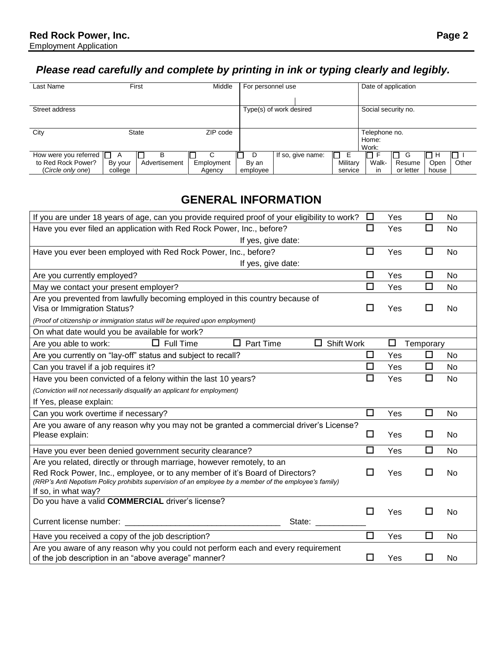# *Please read carefully and complete by printing in ink or typing clearly and legibly.*

| Last Name                    |         | First         | Middle     | For personnel use |                         | Date of application |                     |           |       |       |
|------------------------------|---------|---------------|------------|-------------------|-------------------------|---------------------|---------------------|-----------|-------|-------|
|                              |         |               |            |                   |                         |                     |                     |           |       |       |
| Street address               |         |               |            |                   | Type(s) of work desired |                     | Social security no. |           |       |       |
|                              |         |               |            |                   |                         |                     |                     |           |       |       |
| City                         |         | <b>State</b>  | ZIP code   |                   |                         |                     | Telephone no.       |           |       |       |
|                              |         |               |            |                   |                         |                     | Home:               |           |       |       |
|                              |         |               |            |                   |                         |                     | Work:               |           |       |       |
| How were you referred $\Box$ | A       | В             |            | D                 | If so, give name:       | IO<br>Е             |                     | G         | . I H |       |
| to Red Rock Power?           | By your | Advertisement | Employment | By an             |                         | Military            | Walk-               | Resume    | Open  | Other |
| (Circle only one)            | college |               | Agency     | employee          |                         | service             | <i>in</i>           | or letter | house |       |

## **GENERAL INFORMATION**

| If you are under 18 years of age, can you provide required proof of your eligibility to work?                                                                                                                                                                                                                 | □      | Yes | □         | No        |
|---------------------------------------------------------------------------------------------------------------------------------------------------------------------------------------------------------------------------------------------------------------------------------------------------------------|--------|-----|-----------|-----------|
| Have you ever filed an application with Red Rock Power, Inc., before?                                                                                                                                                                                                                                         | $\Box$ | Yes | □         | No        |
| If yes, give date:                                                                                                                                                                                                                                                                                            |        |     |           |           |
| Have you ever been employed with Red Rock Power, Inc., before?                                                                                                                                                                                                                                                | □      | Yes | $\Box$    | No        |
| If yes, give date:                                                                                                                                                                                                                                                                                            |        |     |           |           |
| Are you currently employed?                                                                                                                                                                                                                                                                                   | □      | Yes | □         | No        |
| May we contact your present employer?                                                                                                                                                                                                                                                                         | □      | Yes | $\Box$    | No        |
| Are you prevented from lawfully becoming employed in this country because of<br>Visa or Immigration Status?                                                                                                                                                                                                   | $\Box$ | Yes | □         | No        |
| (Proof of citizenship or immigration status will be required upon employment)                                                                                                                                                                                                                                 |        |     |           |           |
| On what date would you be available for work?                                                                                                                                                                                                                                                                 |        |     |           |           |
| $\Box$ Part Time<br>$\Box$ Shift Work<br>$\Box$ Full Time<br>Are you able to work:                                                                                                                                                                                                                            |        | □   | Temporary |           |
| Are you currently on "lay-off" status and subject to recall?                                                                                                                                                                                                                                                  | □      | Yes | □         | No        |
| Can you travel if a job requires it?                                                                                                                                                                                                                                                                          | □      | Yes | □         | No        |
| Have you been convicted of a felony within the last 10 years?                                                                                                                                                                                                                                                 | □      | Yes | ◻         | No        |
| (Conviction will not necessarily disqualify an applicant for employment)                                                                                                                                                                                                                                      |        |     |           |           |
| If Yes, please explain:                                                                                                                                                                                                                                                                                       |        |     |           |           |
| Can you work overtime if necessary?                                                                                                                                                                                                                                                                           | $\Box$ | Yes | □         | No        |
| Are you aware of any reason why you may not be granted a commercial driver's License?<br>Please explain:                                                                                                                                                                                                      | □      | Yes | □         | <b>No</b> |
| Have you ever been denied government security clearance?                                                                                                                                                                                                                                                      | $\Box$ | Yes | □         | No        |
| Are you related, directly or through marriage, however remotely, to an<br>Red Rock Power, Inc., employee, or to any member of it's Board of Directors?<br>(RRP's Anti Nepotism Policy prohibits supervision of an employee by a member of the employee's family)<br>If so, in what way?                       | П      | Yes | П         | <b>No</b> |
| Do you have a valid COMMERCIAL driver's license?<br>Current license number:<br>State: and the state of the state of the state of the state of the state of the state of the state of the state of the state of the state of the state of the state of the state of the state of the state of the state of the | l 1    | Yes | П         | No        |
| Have you received a copy of the job description?                                                                                                                                                                                                                                                              | $\Box$ | Yes | □         | No        |
| Are you aware of any reason why you could not perform each and every requirement<br>of the job description in an "above average" manner?                                                                                                                                                                      | □      | Yes | ΙI        | No        |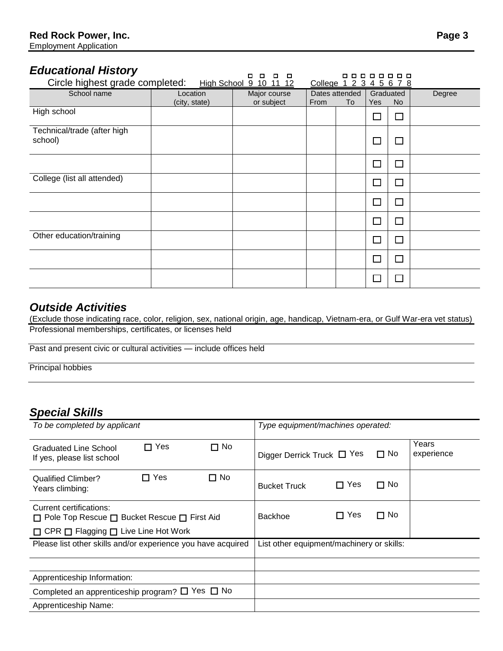#### *Educational History*

| .<br>.<br>Circle highest grade completed:<br>High School 9 10 11 12<br>College 1 2 3 4 5 6 7 8 |                           |                            |      |                      |            |                 |        |
|------------------------------------------------------------------------------------------------|---------------------------|----------------------------|------|----------------------|------------|-----------------|--------|
| School name                                                                                    | Location<br>(city, state) | Major course<br>or subject | From | Dates attended<br>To | <b>Yes</b> | Graduated<br>No | Degree |
| High school                                                                                    |                           |                            |      |                      | $\Box$     | $\Box$          |        |
| Technical/trade (after high<br>school)                                                         |                           |                            |      |                      | $\Box$     | $\Box$          |        |
|                                                                                                |                           |                            |      |                      | $\Box$     | $\Box$          |        |
| College (list all attended)                                                                    |                           |                            |      |                      | П          | П               |        |
|                                                                                                |                           |                            |      |                      | $\Box$     | П               |        |
|                                                                                                |                           |                            |      |                      | $\Box$     | $\Box$          |        |
| Other education/training                                                                       |                           |                            |      |                      | $\Box$     | П               |        |
|                                                                                                |                           |                            |      |                      | $\Box$     | $\Box$          |        |
|                                                                                                |                           |                            |      |                      | П          | <b>Talent</b>   |        |

### *Outside Activities*

(Exclude those indicating race, color, religion, sex, national origin, age, handicap, Vietnam-era, or Gulf War-era vet status) Professional memberships, certificates, or licenses held

Past and present civic or cultural activities — include offices held

Principal hobbies

#### *Special Skills*

| To be completed by applicant                                                            | Type equipment/machines operated:                                   |  |  |  |  |
|-----------------------------------------------------------------------------------------|---------------------------------------------------------------------|--|--|--|--|
| $\Box$ No<br>Yes<br>П<br>Graduated Line School<br>If yes, please list school            | Years<br>$\Box$ No<br>experience<br>Digger Derrick Truck $\Box$ Yes |  |  |  |  |
| $\Box$ Yes<br>$\Box$ No<br>Qualified Climber?<br>Years climbing:                        | $\Box$ Yes<br>$\Box$ No<br><b>Bucket Truck</b>                      |  |  |  |  |
| Current certifications:<br>$\Box$ Pole Top Rescue $\Box$ Bucket Rescue $\Box$ First Aid | $\Box$ No<br>$\Box$ Yes<br><b>Backhoe</b>                           |  |  |  |  |
| $\Box$ CPR $\Box$ Flagging $\Box$ Live Line Hot Work                                    |                                                                     |  |  |  |  |
| Please list other skills and/or experience you have acquired                            | List other equipment/machinery or skills:                           |  |  |  |  |
|                                                                                         |                                                                     |  |  |  |  |
| Apprenticeship Information:                                                             |                                                                     |  |  |  |  |
| Completed an apprenticeship program? $\Box$ Yes $\Box$ No                               |                                                                     |  |  |  |  |
| Apprenticeship Name:                                                                    |                                                                     |  |  |  |  |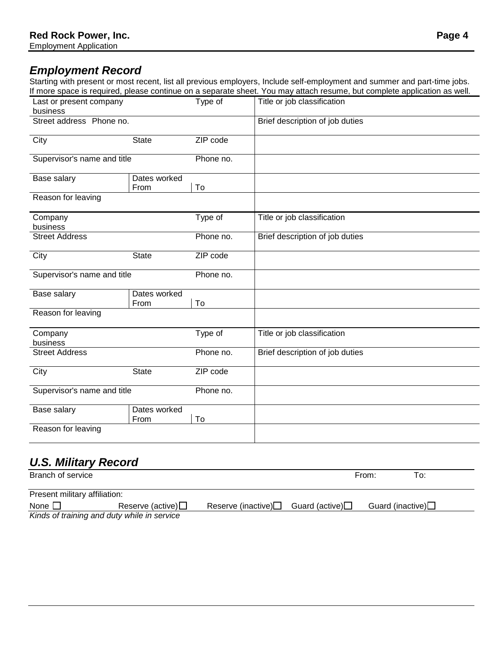## *Employment Record*

Starting with present or most recent, list all previous employers, Include self-employment and summer and part-time jobs. If more space is required, please continue on a separate sheet. You may attach resume, but complete application as well.

|                                     |                      |           | more opado lo regali odi prodoo cominado on a coparato ondoti i od may attach recanno, sat completo application do Molli |
|-------------------------------------|----------------------|-----------|--------------------------------------------------------------------------------------------------------------------------|
| Last or present company<br>business |                      | Type of   | Title or job classification                                                                                              |
| Street address Phone no.            |                      |           | Brief description of job duties                                                                                          |
| City                                | <b>State</b>         | ZIP code  |                                                                                                                          |
| Supervisor's name and title         |                      | Phone no. |                                                                                                                          |
| Base salary                         | Dates worked<br>From | To        |                                                                                                                          |
| Reason for leaving                  |                      |           |                                                                                                                          |
| Company<br>business                 |                      | Type of   | Title or job classification                                                                                              |
| <b>Street Address</b>               |                      | Phone no. | Brief description of job duties                                                                                          |
| City                                | <b>State</b>         | ZIP code  |                                                                                                                          |
| Supervisor's name and title         |                      | Phone no. |                                                                                                                          |
| Base salary                         | Dates worked<br>From | To        |                                                                                                                          |
| Reason for leaving                  |                      |           |                                                                                                                          |
| Company<br>business                 |                      | Type of   | Title or job classification                                                                                              |
| <b>Street Address</b>               |                      | Phone no. | Brief description of job duties                                                                                          |
| City                                | <b>State</b>         | ZIP code  |                                                                                                                          |
| Supervisor's name and title         |                      | Phone no. |                                                                                                                          |
| Base salary                         | Dates worked<br>From | To        |                                                                                                                          |
| Reason for leaving                  |                      |           |                                                                                                                          |

### *U.S. Military Record*

| Branch of service                           |                            |                              |                 | From:                      | To: |
|---------------------------------------------|----------------------------|------------------------------|-----------------|----------------------------|-----|
| Present military affiliation:               |                            |                              |                 |                            |     |
| None $\square$                              | Reserve (active) $\square$ | Reserve (inactive) $\square$ | Guard (active)□ | Guard (inactive) $\square$ |     |
| Kinds of training and duty while in service |                            |                              |                 |                            |     |